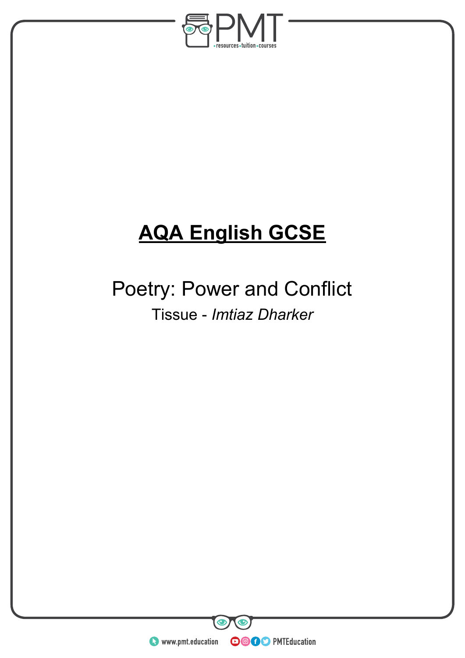

# **AQA English GCSE**

## Poetry: Power and Conflict Tissue - *Imtiaz Dharker*

**WWW.pmt.education** 

 $\bullet$ 

 $\bm{\bm{\circ}}$ 

**OOOO** PMTEducation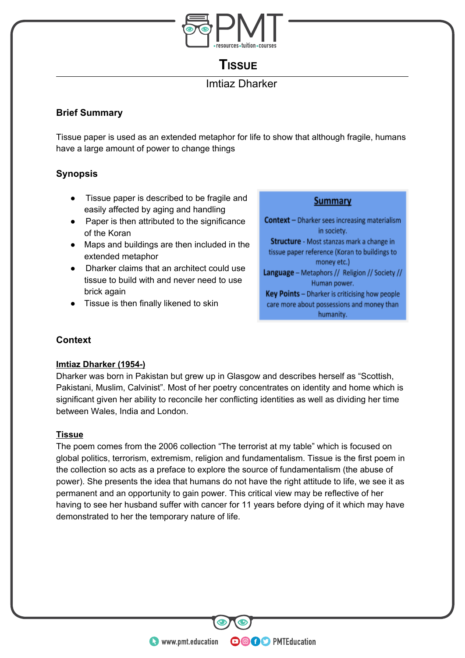

## **TISSUE**

## Imtiaz Dharker

## **Brief Summary**

Tissue paper is used as an extended metaphor for life to show that although fragile, humans have a large amount of power to change things

## **Synopsis**

- Tissue paper is described to be fragile and easily affected by aging and handling
- Paper is then attributed to the significance of the Koran
- Maps and buildings are then included in the extended metaphor
- Dharker claims that an architect could use tissue to build with and never need to use brick again
- Tissue is then finally likened to skin

Summary

**Context** - Dharker sees increasing materialism in society. Structure - Most stanzas mark a change in tissue paper reference (Koran to buildings to money etc.) Language - Metaphors // Religion // Society // Human power. Key Points - Dharker is criticising how people care more about possessions and money than humanity.

## **Context**

### **Imtiaz Dharker (1954-)**

Dharker was born in Pakistan but grew up in Glasgow and describes herself as "Scottish, Pakistani, Muslim, Calvinist". Most of her poetry concentrates on identity and home which is significant given her ability to reconcile her conflicting identities as well as dividing her time between Wales, India and London.

### **Tissue**

The poem comes from the 2006 collection "The terrorist at my table" which is focused on global politics, terrorism, extremism, religion and fundamentalism. Tissue is the first poem in the collection so acts as a preface to explore the source of fundamentalism (the abuse of power). She presents the idea that humans do not have the right attitude to life, we see it as permanent and an opportunity to gain power. This critical view may be reflective of her having to see her husband suffer with cancer for 11 years before dying of it which may have demonstrated to her the temporary nature of life.

**OOOO** PMTEducation

**C** www.pmt.education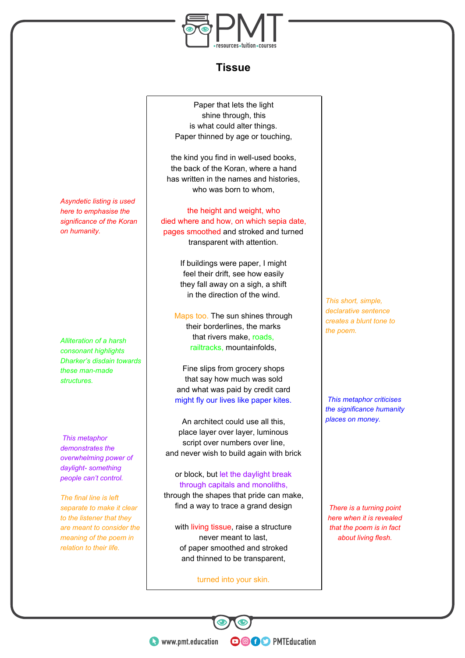

## **Tissue**

Paper that lets the light shine through, this is what could alter things. Paper thinned by age or touching,

the kind you find in well-used books, the back of the Koran, where a hand has written in the names and histories, who was born to whom.

the height and weight, who died where and how, on which sepia date, pages smoothed and stroked and turned transparent with attention.

> If buildings were paper, I might feel their drift, see how easily they fall away on a sigh, a shift in the direction of the wind.

Maps too. The sun shines through their borderlines, the marks that rivers make, roads, railtracks, mountainfolds,

Fine slips from grocery shops that say how much was sold and what was paid by credit card might fly our lives like paper kites.

An architect could use all this, place layer over layer, luminous script over numbers over line, and never wish to build again with brick

or block, but let the daylight break through capitals and monoliths, through the shapes that pride can make, find a way to trace a grand design

with living tissue, raise a structure never meant to last, of paper smoothed and stroked and thinned to be transparent,

turned into your skin.

**OOOO** PMTEducation

*This short, simple, declarative sentence creates a blunt tone to the poem.*

*This metaphor criticises the significance humanity places on money.*

*There is a turning point here when it is revealed that the poem is in fact about living flesh.*

*Asyndetic listing is used here to emphasise the significance of the Koran on humanity.*

*Alliteration of a harsh consonant highlights Dharker's disdain towards these man-made structures.*

*This metaphor demonstrates the overwhelming power of daylight- something people can't control.*

*The final line is left separate to make it clear to the listener that they are meant to consider the meaning of the poem in relation to their life.*

**WWW.pmt.education**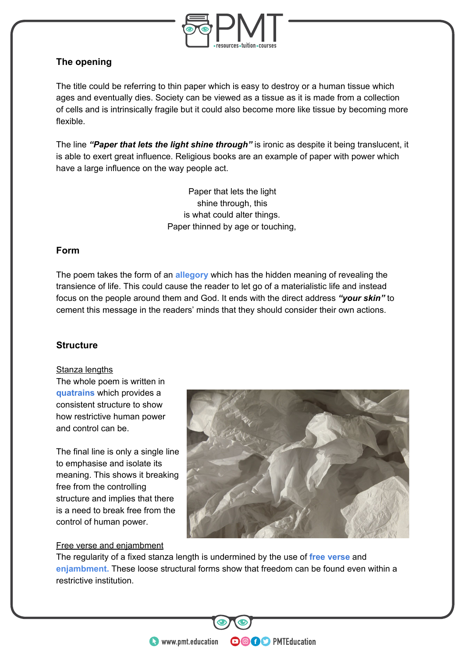

## **The opening**

The title could be referring to thin paper which is easy to destroy or a human tissue which ages and eventually dies. Society can be viewed as a tissue as it is made from a collection of cells and is intrinsically fragile but it could also become more like tissue by becoming more flexible.

The line *"Paper that lets the light shine through"* is ironic as despite it being translucent, it is able to exert great influence. Religious books are an example of paper with power which have a large influence on the way people act.

> Paper that lets the light shine through, this is what could alter things. Paper thinned by age or touching,

### **Form**

The poem takes the form of an **allegory** which has the hidden meaning of revealing the transience of life. This could cause the reader to let go of a materialistic life and instead focus on the people around them and God. It ends with the direct address *"your skin"* to cement this message in the readers' minds that they should consider their own actions.

### **Structure**

#### Stanza lengths

The whole poem is written in **quatrains** which provides a consistent structure to show how restrictive human power and control can be.

The final line is only a single line to emphasise and isolate its meaning. This shows it breaking free from the controlling structure and implies that there is a need to break free from the control of human power.

### Free verse and enjambment



**OOOO** PMTEducation

The regularity of a fixed stanza length is undermined by the use of **free verse** and **enjambment.** These loose structural forms show that freedom can be found even within a restrictive institution.

**WWW.pmt.education**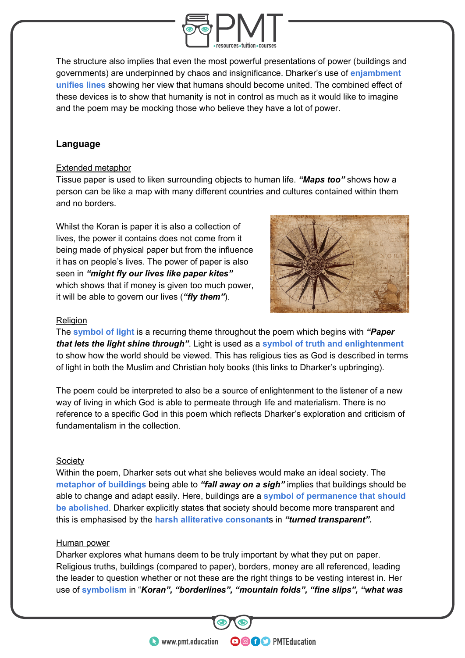

The structure also implies that even the most powerful presentations of power (buildings and governments) are underpinned by chaos and insignificance. Dharker's use of **enjambment unifies lines** showing her view that humans should become united. The combined effect of these devices is to show that humanity is not in control as much as it would like to imagine and the poem may be mocking those who believe they have a lot of power.

## **Language**

#### Extended metaphor

Tissue paper is used to liken surrounding objects to human life. *"Maps too"* shows how a person can be like a map with many different countries and cultures contained within them and no borders.

Whilst the Koran is paper it is also a collection of lives, the power it contains does not come from it being made of physical paper but from the influence it has on people's lives. The power of paper is also seen in *"might fly our lives like paper kites"* which shows that if money is given too much power, it will be able to govern our lives (*"fly them"*).



#### **Religion**

The **symbol of light** is a recurring theme throughout the poem which begins with *"Paper that lets the light shine through"*. Light is used as a **symbol of truth and enlightenment** to show how the world should be viewed. This has religious ties as God is described in terms of light in both the Muslim and Christian holy books (this links to Dharker's upbringing).

The poem could be interpreted to also be a source of enlightenment to the listener of a new way of living in which God is able to permeate through life and materialism. There is no reference to a specific God in this poem which reflects Dharker's exploration and criticism of fundamentalism in the collection.

#### **Society**

Within the poem, Dharker sets out what she believes would make an ideal society. The **metaphor of buildings** being able to *"fall away on a sigh"* implies that buildings should be able to change and adapt easily. Here, buildings are a **symbol of permanence that should be abolished**. Dharker explicitly states that society should become more transparent and this is emphasised by the **harsh alliterative consonant**s in *"turned transparent".* 

#### Human power

Dharker explores what humans deem to be truly important by what they put on paper. Religious truths, buildings (compared to paper), borders, money are all referenced, leading the leader to question whether or not these are the right things to be vesting interest in. Her use of **symbolism** in "*Koran", "borderlines", "mountain folds", "fine slips", "what was* 

**OOOO** PMTEducation